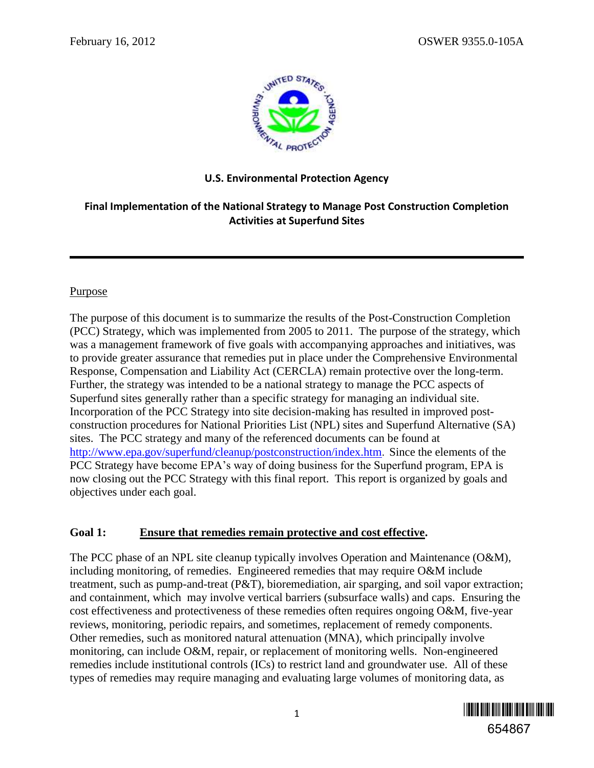

## **U.S. Environmental Protection Agency**

# **Final Implementation of the National Strategy to Manage Post Construction Completion Activities at Superfund Sites**

## **Purpose**

The purpose of this document is to summarize the results of the Post-Construction Completion (PCC) Strategy, which was implemented from 2005 to 2011. The purpose of the strategy, which was a management framework of five goals with accompanying approaches and initiatives, was to provide greater assurance that remedies put in place under the Comprehensive Environmental Response, Compensation and Liability Act (CERCLA) remain protective over the long-term. Further, the strategy was intended to be a national strategy to manage the PCC aspects of Superfund sites generally rather than a specific strategy for managing an individual site. Incorporation of the PCC Strategy into site decision-making has resulted in improved postconstruction procedures for National Priorities List (NPL) sites and Superfund Alternative (SA) sites. The PCC strategy and many of the referenced documents can be found at <http://www.epa.gov/superfund/cleanup/postconstruction/index.htm>. Since the elements of the PCC Strategy have become EPA's way of doing business for the Superfund program, EPA is now closing out the PCC Strategy with this final report. This report is organized by goals and objectives under each goal.

# **Goal 1: Ensure that remedies remain protective and cost effective.**

The PCC phase of an NPL site cleanup typically involves Operation and Maintenance (O&M), including monitoring, of remedies. Engineered remedies that may require O&M include treatment, such as pump-and-treat (P&T), bioremediation, air sparging, and soil vapor extraction; and containment, which may involve vertical barriers (subsurface walls) and caps. Ensuring the cost effectiveness and protectiveness of these remedies often requires ongoing O&M, five-year reviews, monitoring, periodic repairs, and sometimes, replacement of remedy components. Other remedies, such as monitored natural attenuation (MNA), which principally involve monitoring, can include O&M, repair, or replacement of monitoring wells. Non-engineered remedies include institutional controls (ICs) to restrict land and groundwater use. All of these types of remedies may require managing and evaluating large volumes of monitoring data, as

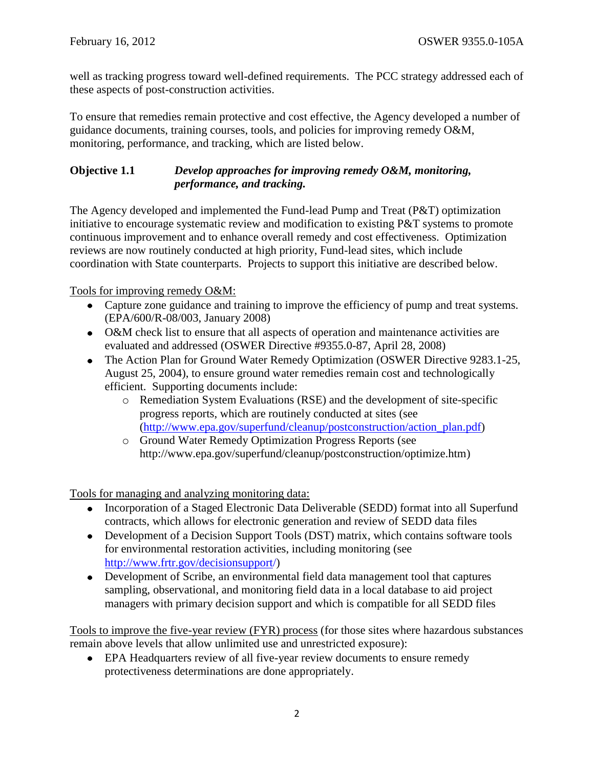well as tracking progress toward well-defined requirements. The PCC strategy addressed each of these aspects of post-construction activities.

To ensure that remedies remain protective and cost effective, the Agency developed a number of guidance documents, training courses, tools, and policies for improving remedy O&M, monitoring, performance, and tracking, which are listed below.

### **Objective 1.1** *Develop approaches for improving remedy O&M, monitoring, performance, and tracking.*

The Agency developed and implemented the Fund-lead Pump and Treat (P&T) optimization initiative to encourage systematic review and modification to existing P&T systems to promote continuous improvement and to enhance overall remedy and cost effectiveness. Optimization reviews are now routinely conducted at high priority, Fund-lead sites, which include coordination with State counterparts. Projects to support this initiative are described below.

Tools for improving remedy O&M:

- Capture zone guidance and training to improve the efficiency of pump and treat systems. (EPA/600/R-08/003, January 2008)
- O&M check list to ensure that all aspects of operation and maintenance activities are evaluated and addressed (OSWER Directive #9355.0-87, April 28, 2008)
- The Action Plan for Ground Water Remedy Optimization (OSWER Directive 9283.1-25, August 25, 2004), to ensure ground water remedies remain cost and technologically efficient. Supporting documents include:
	- o Remediation System Evaluations (RSE) and the development of site-specific progress reports, which are routinely conducted at sites (see [\(http://www.epa.gov/superfund/cleanup/postconstruction/action\\_plan.pdf\)](http://www.epa.gov/superfund/cleanup/postconstruction/action_plan.pdf)
	- o Ground Water Remedy Optimization Progress Reports (see http://www.epa.gov/superfund/cleanup/postconstruction/optimize.htm)

Tools for managing and analyzing monitoring data:

- Incorporation of a Staged Electronic Data Deliverable (SEDD) format into all Superfund contracts, which allows for electronic generation and review of SEDD data files
- Development of a Decision Support Tools (DST) matrix, which contains software tools for environmental restoration activities, including monitoring (see [http://www.frtr.gov/decisionsupport/\)](http://www.frtr.gov/decisionsupport/)
- Development of Scribe, an environmental field data management tool that captures sampling, observational, and monitoring field data in a local database to aid project managers with primary decision support and which is compatible for all SEDD files

Tools to improve the five-year review (FYR) process (for those sites where hazardous substances remain above levels that allow unlimited use and unrestricted exposure):

EPA Headquarters review of all five-year review documents to ensure remedy protectiveness determinations are done appropriately.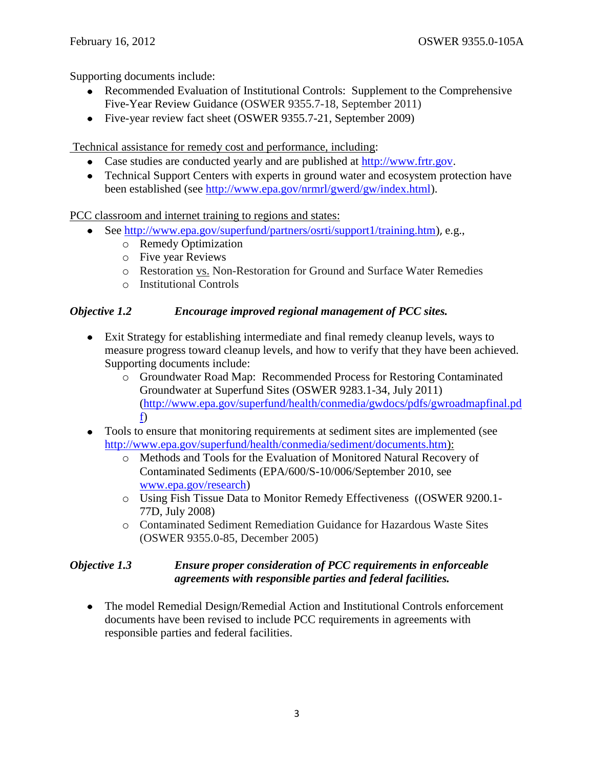Supporting documents include:

- Recommended Evaluation of Institutional Controls: Supplement to the Comprehensive Five-Year Review Guidance (OSWER 9355.7-18, September 2011)
- Five-year review fact sheet (OSWER 9355.7-21, September 2009)

Technical assistance for remedy cost and performance, including:

- Case studies are conducted yearly and are published at [http://www.frtr.gov.](http://www.frtr.gov/)
- Technical Support Centers with experts in ground water and ecosystem protection have been established (see [http://www.epa.gov/nrmrl/gwerd/gw/index.html\)](http://www.epa.gov/nrmrl/gwerd/gw/index.html).

PCC classroom and internet training to regions and states:

- See [http://www.epa.gov/superfund/partners/osrti/support1/training.htm\)](http://www.epa.gov/superfund/partners/osrti/support1/training.htm), e.g.,
	- o Remedy Optimization
	- o Five year Reviews
	- o Restoration vs. Non-Restoration for Ground and Surface Water Remedies
	- o Institutional Controls

#### *Objective 1.2 Encourage improved regional management of PCC sites.*

- Exit Strategy for establishing intermediate and final remedy cleanup levels, ways to measure progress toward cleanup levels, and how to verify that they have been achieved. Supporting documents include:
	- o Groundwater Road Map: Recommended Process for Restoring Contaminated Groundwater at Superfund Sites (OSWER 9283.1-34, July 2011) [\(http://www.epa.gov/superfund/health/conmedia/gwdocs/pdfs/gwroadmapfinal.pd](http://www.epa.gov/superfund/health/conmedia/gwdocs/pdfs/gwroadmapfinal.pdf) [f\)](http://www.epa.gov/superfund/health/conmedia/gwdocs/pdfs/gwroadmapfinal.pdf)
- Tools to ensure that monitoring requirements at sediment sites are implemented (see [http://www.epa.gov/superfund/health/conmedia/sediment/documents.htm\)](http://www.epa.gov/superfund/health/conmedia/sediment/documents.htm):
	- o Methods and Tools for the Evaluation of Monitored Natural Recovery of Contaminated Sediments (EPA/600/S-10/006/September 2010, see [www.epa.gov/research\)](http://www.epa.gov/research)
	- o Using Fish Tissue Data to Monitor Remedy Effectiveness ((OSWER 9200.1- 77D, July 2008)
	- o Contaminated Sediment Remediation Guidance for Hazardous Waste Sites (OSWER 9355.0-85, December 2005)

## *Objective 1.3 Ensure proper consideration of PCC requirements in enforceable agreements with responsible parties and federal facilities.*

• The model Remedial Design/Remedial Action and Institutional Controls enforcement documents have been revised to include PCC requirements in agreements with responsible parties and federal facilities.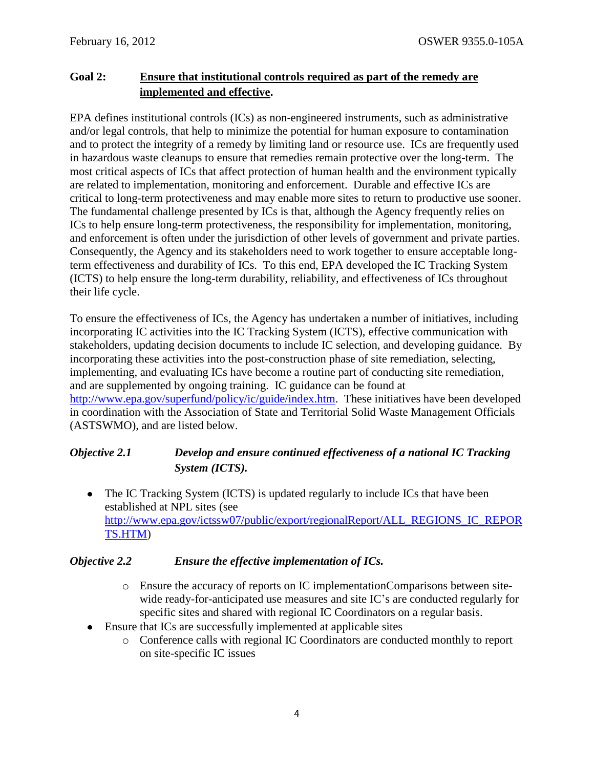# **Goal 2: Ensure that institutional controls required as part of the remedy are implemented and effective.**

EPA defines institutional controls (ICs) as non-engineered instruments, such as administrative and/or legal controls, that help to minimize the potential for human exposure to contamination and to protect the integrity of a remedy by limiting land or resource use. ICs are frequently used in hazardous waste cleanups to ensure that remedies remain protective over the long-term. The most critical aspects of ICs that affect protection of human health and the environment typically are related to implementation, monitoring and enforcement. Durable and effective ICs are critical to long-term protectiveness and may enable more sites to return to productive use sooner. The fundamental challenge presented by ICs is that, although the Agency frequently relies on ICs to help ensure long-term protectiveness, the responsibility for implementation, monitoring, and enforcement is often under the jurisdiction of other levels of government and private parties. Consequently, the Agency and its stakeholders need to work together to ensure acceptable longterm effectiveness and durability of ICs. To this end, EPA developed the IC Tracking System (ICTS) to help ensure the long-term durability, reliability, and effectiveness of ICs throughout their life cycle.

To ensure the effectiveness of ICs, the Agency has undertaken a number of initiatives, including incorporating IC activities into the IC Tracking System (ICTS), effective communication with stakeholders, updating decision documents to include IC selection, and developing guidance. By incorporating these activities into the post-construction phase of site remediation, selecting, implementing, and evaluating ICs have become a routine part of conducting site remediation, and are supplemented by ongoing training. IC guidance can be found at [http://www.epa.gov/superfund/policy/ic/guide/index.htm.](http://www.epa.gov/superfund/policy/ic/guide/index.htm) These initiatives have been developed in coordination with the Association of State and Territorial Solid Waste Management Officials (ASTSWMO), and are listed below.

# *Objective 2.1 Develop and ensure continued effectiveness of a national IC Tracking System (ICTS).*

• The IC Tracking System (ICTS) is updated regularly to include ICs that have been established at NPL sites (see [http://www.epa.gov/ictssw07/public/export/regionalReport/ALL\\_REGIONS\\_IC\\_REPOR](http://www.epa.gov/ictssw07/public/export/regionalReport/ALL_REGIONS_IC_REPORTS.HTM) [TS.HTM\)](http://www.epa.gov/ictssw07/public/export/regionalReport/ALL_REGIONS_IC_REPORTS.HTM)

# *Objective 2.2 Ensure the effective implementation of ICs.*

- o Ensure the accuracy of reports on IC implementationComparisons between sitewide ready-for-anticipated use measures and site IC's are conducted regularly for specific sites and shared with regional IC Coordinators on a regular basis.
- Ensure that ICs are successfully implemented at applicable sites
	- o Conference calls with regional IC Coordinators are conducted monthly to report on site-specific IC issues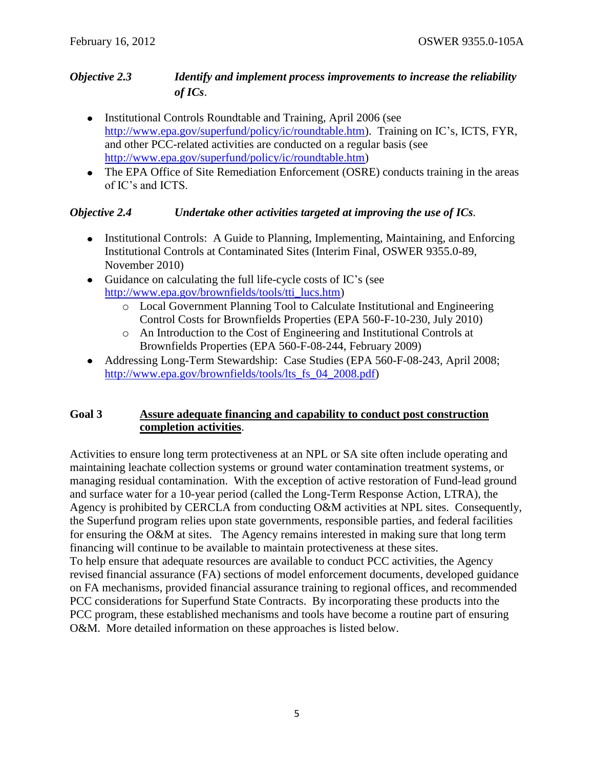## *Objective 2.3 Identify and implement process improvements to increase the reliability of ICs*.

- Institutional Controls Roundtable and Training, April 2006 (see [http://www.epa.gov/superfund/policy/ic/roundtable.htm\)](http://www.epa.gov/superfund/policy/ic/roundtable.htm). Training on IC's, ICTS, FYR, and other PCC-related activities are conducted on a regular basis (see [http://www.epa.gov/superfund/policy/ic/roundtable.htm\)](http://www.epa.gov/superfund/policy/ic/roundtable.htm)
- The EPA Office of Site Remediation Enforcement (OSRE) conducts training in the areas of IC's and ICTS.

## *Objective 2.4 Undertake other activities targeted at improving the use of ICs.*

- Institutional Controls: A Guide to Planning, Implementing, Maintaining, and Enforcing Institutional Controls at Contaminated Sites (Interim Final, OSWER 9355.0-89, November 2010)
- Guidance on calculating the full life-cycle costs of IC's (see [http://www.epa.gov/brownfields/tools/tti\\_lucs.htm\)](http://www.epa.gov/brownfields/tools/tti_lucs.htm)
	- o Local Government Planning Tool to Calculate Institutional and Engineering Control Costs for Brownfields Properties (EPA 560-F-10-230, July 2010)
	- o An Introduction to the Cost of Engineering and Institutional Controls at Brownfields Properties (EPA 560-F-08-244, February 2009)
- Addressing Long-Term Stewardship: Case Studies (EPA 560-F-08-243, April 2008; http://www.epa.gov/brownfields/tools/lts fs 04 2008.pdf)

## **Goal 3 Assure adequate financing and capability to conduct post construction completion activities**.

Activities to ensure long term protectiveness at an NPL or SA site often include operating and maintaining leachate collection systems or ground water contamination treatment systems, or managing residual contamination. With the exception of active restoration of Fund-lead ground and surface water for a 10-year period (called the Long-Term Response Action, LTRA), the Agency is prohibited by CERCLA from conducting O&M activities at NPL sites. Consequently, the Superfund program relies upon state governments, responsible parties, and federal facilities for ensuring the O&M at sites. The Agency remains interested in making sure that long term financing will continue to be available to maintain protectiveness at these sites. To help ensure that adequate resources are available to conduct PCC activities, the Agency revised financial assurance (FA) sections of model enforcement documents, developed guidance on FA mechanisms, provided financial assurance training to regional offices, and recommended PCC considerations for Superfund State Contracts. By incorporating these products into the PCC program, these established mechanisms and tools have become a routine part of ensuring O&M. More detailed information on these approaches is listed below.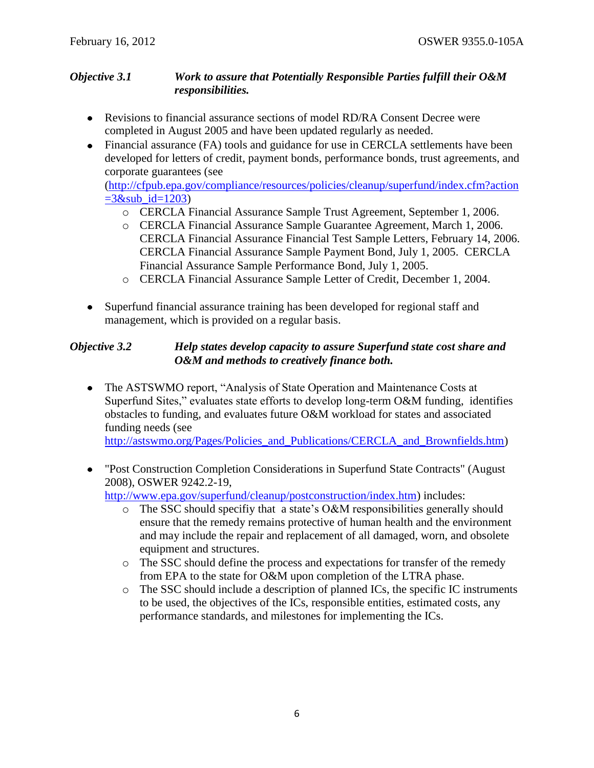#### *Objective 3.1 Work to assure that Potentially Responsible Parties fulfill their O&M responsibilities.*

- Revisions to financial assurance sections of model RD/RA Consent Decree were completed in August 2005 and have been updated regularly as needed.
- Financial assurance (FA) tools and guidance for use in CERCLA settlements have been developed for letters of credit, payment bonds, performance bonds, trust agreements, and corporate guarantees (see

[\(http://cfpub.epa.gov/compliance/resources/policies/cleanup/superfund/index.cfm?action](http://cfpub.epa.gov/compliance/resources/policies/cleanup/superfund/index.cfm?action=3&sub_id=1203)  $=3$ &sub id=1203)

- o CERCLA Financial Assurance Sample Trust Agreement, September 1, 2006.
- o CERCLA Financial Assurance Sample Guarantee Agreement, March 1, 2006. CERCLA Financial Assurance Financial Test Sample Letters, February 14, 2006. CERCLA Financial Assurance Sample Payment Bond, July 1, 2005. CERCLA Financial Assurance Sample Performance Bond, July 1, 2005.
- o CERCLA Financial Assurance Sample Letter of Credit, December 1, 2004.
- Superfund financial assurance training has been developed for regional staff and management, which is provided on a regular basis.

## *Objective 3.2 Help states develop capacity to assure Superfund state cost share and O&M and methods to creatively finance both.*

• The ASTSWMO report, "Analysis of State Operation and Maintenance Costs at Superfund Sites," evaluates state efforts to develop long-term O&M funding, identifies obstacles to funding, and evaluates future O&M workload for states and associated funding needs (see

[http://astswmo.org/Pages/Policies\\_and\\_Publications/CERCLA\\_and\\_Brownfields.htm\)](http://astswmo.org/Pages/Policies_and_Publications/CERCLA_and_Brownfields.htm)

["Post Construction Completion Considerations in Superfund](http://www.epa.gov/superfund/cleanup/postconstruction/ssc_guidance.pdf) State Contracts" (August  $\bullet$ [2008\),](http://www.epa.gov/superfund/cleanup/postconstruction/ssc_guidance.pdf) OSWER 9242.2-19,

[http://www.epa.gov/superfund/cleanup/postconstruction/index.htm\)](http://www.epa.gov/superfund/cleanup/postconstruction/index.htm) includes:

- o The SSC should specifiy that a state's O&M responsibilities generally should ensure that the remedy remains protective of human health and the environment and may include the repair and replacement of all damaged, worn, and obsolete equipment and structures.
- o The SSC should define the process and expectations for transfer of the remedy from EPA to the state for O&M upon completion of the LTRA phase.
- o The SSC should include a description of planned ICs, the specific IC instruments to be used, the objectives of the ICs, responsible entities, estimated costs, any performance standards, and milestones for implementing the ICs.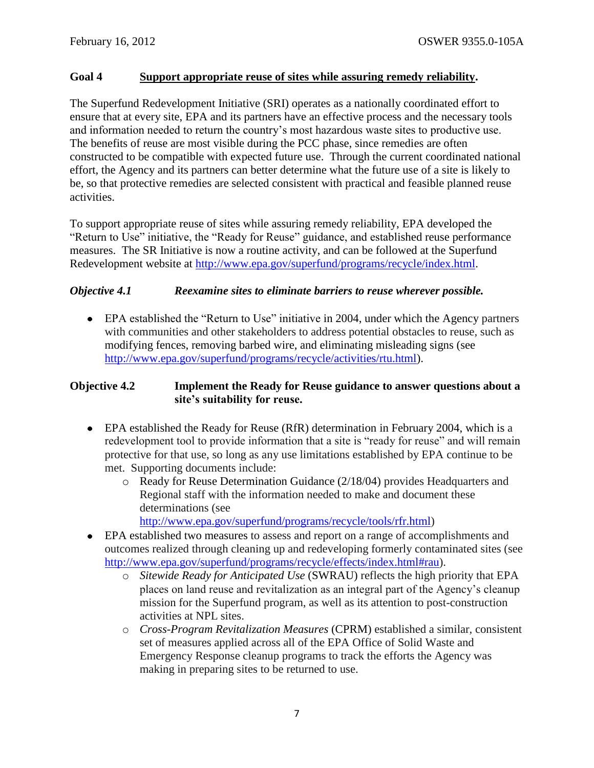#### **Goal 4 Support appropriate reuse of sites while assuring remedy reliability.**

The Superfund Redevelopment Initiative (SRI) operates as a nationally coordinated effort to ensure that at every site, EPA and its partners have an effective process and the necessary tools and information needed to return the country's most hazardous waste sites to productive use. The benefits of reuse are most visible during the PCC phase, since remedies are often constructed to be compatible with expected future use. Through the current coordinated national effort, the Agency and its partners can better determine what the future use of a site is likely to be, so that protective remedies are selected consistent with practical and feasible planned reuse activities.

To support appropriate reuse of sites while assuring remedy reliability, EPA developed the "Return to Use" initiative, the "Ready for Reuse" guidance, and established reuse performance measures. The SR Initiative is now a routine activity, and can be followed at the Superfund Redevelopment website at [http://www.epa.gov/superfund/programs/recycle/index.html.](http://www.epa.gov/superfund/programs/recycle/index.html)

#### *Objective 4.1 Reexamine sites to eliminate barriers to reuse wherever possible.*

EPA established the "Return to Use" initiative in 2004, under which the Agency partners with communities and other stakeholders to address potential obstacles to reuse, such as modifying fences, removing barbed wire, and eliminating misleading signs (see [http://www.epa.gov/superfund/programs/recycle/activities/rtu.html\)](http://www.epa.gov/superfund/programs/recycle/activities/rtu.html).

### **Objective 4.2 Implement the Ready for Reuse guidance to answer questions about a site's suitability for reuse.**

- EPA established the Ready for Reuse (RfR) determination in February 2004, which is a redevelopment tool to provide information that a site is "ready for reuse" and will remain protective for that use, so long as any use limitations established by EPA continue to be met. Supporting documents include:
	- o Ready for Reuse Determination Guidance (2/18/04) provides Headquarters and Regional staff with the information needed to make and document these determinations (see
		- [http://www.epa.gov/superfund/programs/recycle/tools/rfr.html\)](http://www.epa.gov/superfund/programs/recycle/tools/rfr.html)
- EPA established two measures to assess and report on a range of accomplishments and outcomes realized through cleaning up and redeveloping formerly contaminated sites (see [http://www.epa.gov/superfund/programs/recycle/effects/index.html#rau\)](http://www.epa.gov/superfund/programs/recycle/effects/index.html#rau).
	- o *Sitewide Ready for Anticipated Use* (SWRAU) reflects the high priority that EPA places on land reuse and revitalization as an integral part of the Agency's cleanup mission for the Superfund program, as well as its attention to post-construction activities at NPL sites.
	- o *Cross-Program Revitalization Measures* (CPRM) established a similar, consistent set of measures applied across all of the EPA Office of Solid Waste and Emergency Response cleanup programs to track the efforts the Agency was making in preparing sites to be returned to use.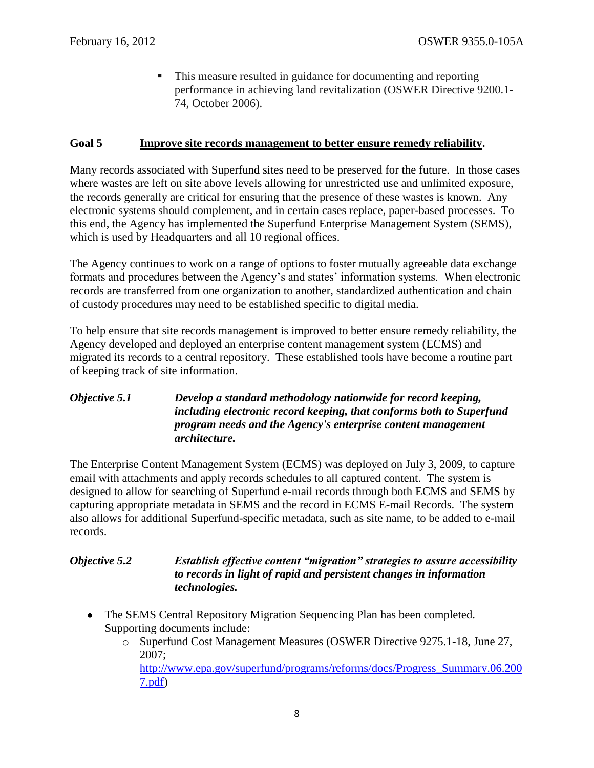This measure resulted in guidance for documenting and reporting performance in achieving land revitalization (OSWER Directive 9200.1- 74, October 2006).

#### **Goal 5 Improve site records management to better ensure remedy reliability.**

Many records associated with Superfund sites need to be preserved for the future. In those cases where wastes are left on site above levels allowing for unrestricted use and unlimited exposure, the records generally are critical for ensuring that the presence of these wastes is known. Any electronic systems should complement, and in certain cases replace, paper-based processes. To this end, the Agency has implemented the Superfund Enterprise Management System (SEMS), which is used by Headquarters and all 10 regional offices.

The Agency continues to work on a range of options to foster mutually agreeable data exchange formats and procedures between the Agency's and states' information systems. When electronic records are transferred from one organization to another, standardized authentication and chain of custody procedures may need to be established specific to digital media.

To help ensure that site records management is improved to better ensure remedy reliability, the Agency developed and deployed an enterprise content management system (ECMS) and migrated its records to a central repository. These established tools have become a routine part of keeping track of site information.

## *Objective 5.1 Develop a standard methodology nationwide for record keeping, including electronic record keeping, that conforms both to Superfund program needs and the Agency's enterprise content management architecture.*

The Enterprise Content Management System (ECMS) was deployed on July 3, 2009, to capture email with attachments and apply records schedules to all captured content. The system is designed to allow for searching of Superfund e-mail records through both ECMS and SEMS by capturing appropriate metadata in SEMS and the record in ECMS E-mail Records. The system also allows for additional Superfund-specific metadata, such as site name, to be added to e-mail records.

## *Objective 5.2 Establish effective content "migration" strategies to assure accessibility to records in light of rapid and persistent changes in information technologies.*

• The SEMS Central Repository Migration Sequencing Plan has been completed. Supporting documents include:

[7.pdf\)](http://www.epa.gov/superfund/programs/reforms/docs/Progress_Summary.06.2007.pdf)

o Superfund Cost Management Measures (OSWER Directive 9275.1-18, June 27, 2007; [http://www.epa.gov/superfund/programs/reforms/docs/Progress\\_Summary.06.200](http://www.epa.gov/superfund/programs/reforms/docs/Progress_Summary.06.2007.pdf)